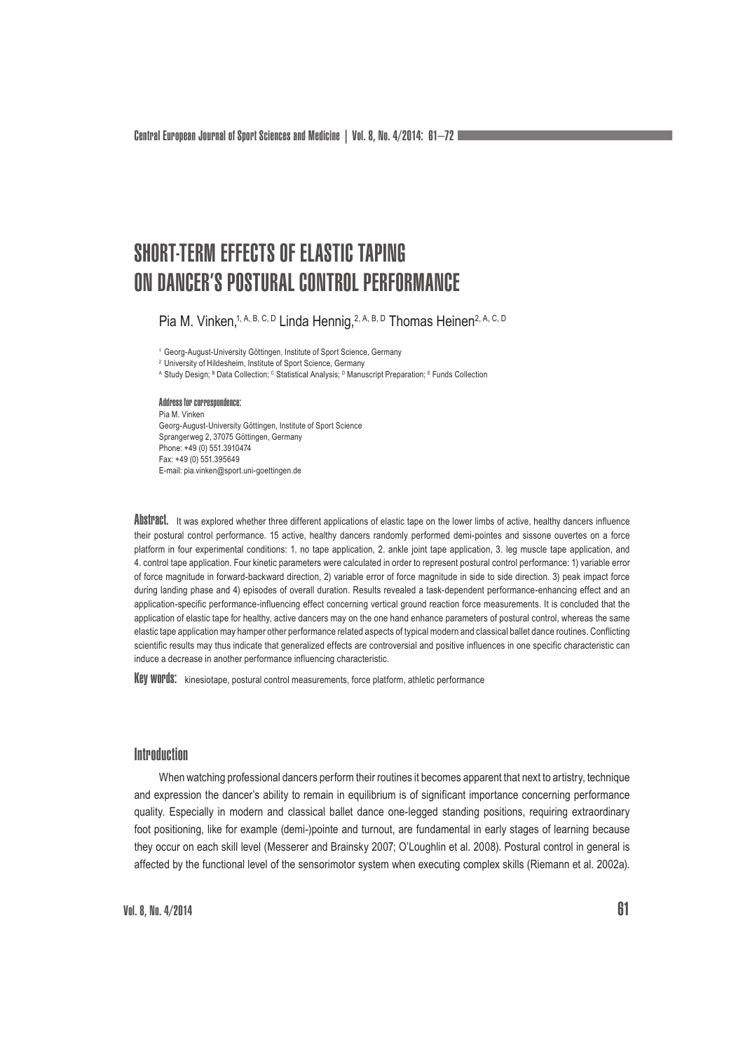# SHORT-TERM EFFECTS OF ELASTIC TAPING ON DANCER'S POSTURAL CONTROL PERFORMANCE

Pia M. Vinken,<sup>1, A, B, C, D</sup> Linda Hennig, <sup>2, A, B, D</sup> Thomas Heinen<sup>2, A, C, D</sup>

<sup>1</sup> Georg-August-University Göttingen, Institute of Sport Science, Germany

<sup>2</sup> University of Hildesheim, Institute of Sport Science, Germany

A Study Design; <sup>в</sup> Data Collection; <sup>с</sup> Statistical Analysis; <sup>в</sup> Manuscript Preparation; <sup>в</sup> Funds Collection

## Address for correspondence: Pia M. Vinken

Georg-August-University Göttingen, Institute of Sport Science Sprangerweg 2, 37075 Göttingen, Germany Phone: +49 (0) 551.3910474 Fax: +49 (0) 551.395649 E-mail: pia.vinken@sport.uni-goettingen.de

ADSTIP actions the sexplored whether three different applications of elastic tape on the lower limbs of active, healthy dancers influence their postural control performance. 15 active, healthy dancers randomly performed demi-pointes and sissone ouvertes on a force platform in four experimental conditions: 1. no tape application, 2. ankle joint tape application, 3. leg muscle tape application, and 4. control tape application. Four kinetic parameters were calculated in order to represent postural control performance: 1) variable error of force magnitude in forward-backward direction, 2) variable error of force magnitude in side to side direction. 3) peak impact force during landing phase and 4) episodes of overall duration. Results revealed a task-dependent performance-enhancing effect and an application-specific performance-influencing effect concerning vertical ground reaction force measurements. It is concluded that the application of elastic tape for healthy, active dancers may on the one hand enhance parameters of postural control, whereas the same elastic tape application may hamper other performance related aspects of typical modern and classical ballet dance routines. Conflicting scientific results may thus indicate that generalized effects are controversial and positive influences in one specific characteristic can induce a decrease in another performance influencing characteristic.

Key WOPUS: kinesiotape, postural control measurements, force platform, athletic performance

## **Introduction**

When watching professional dancers perform their routines it becomes apparent that next to artistry, technique and expression the dancer's ability to remain in equilibrium is of significant importance concerning performance quality. Especially in modern and classical ballet dance one-legged standing positions, requiring extraordinary foot positioning, like for example (demi-)pointe and turnout, are fundamental in early stages of learning because they occur on each skill level (Messerer and Brainsky 2007; O'Loughlin et al. 2008). Postural control in general is affected by the functional level of the sensorimotor system when executing complex skills (Riemann et al. 2002a).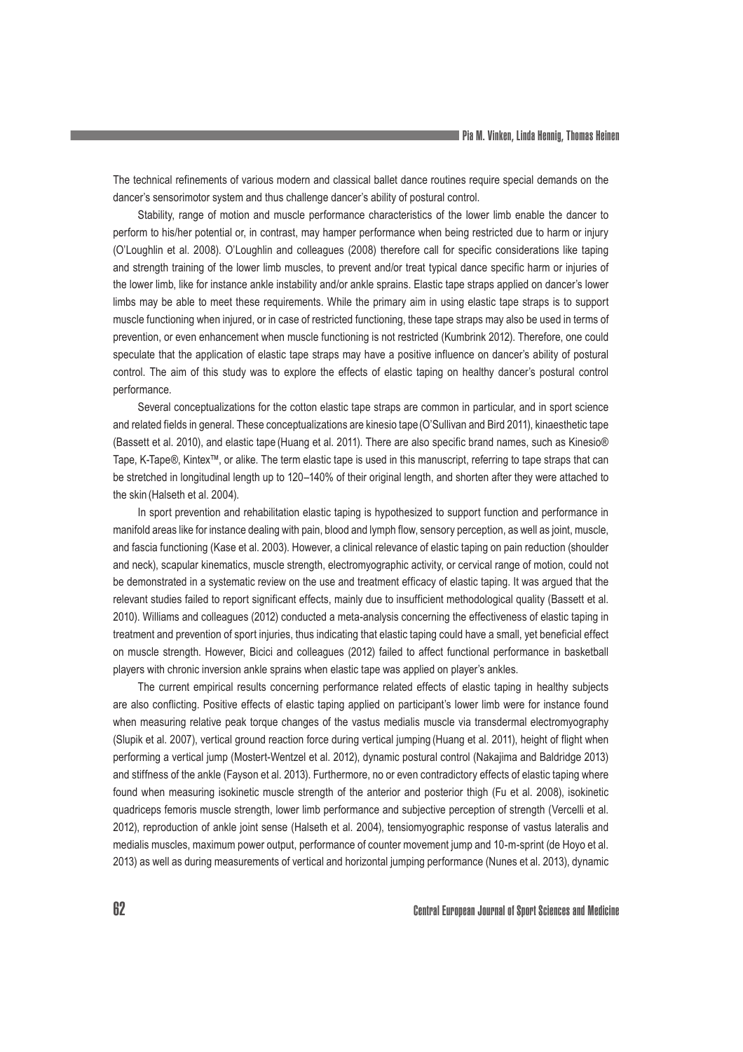The technical refinements of various modern and classical ballet dance routines require special demands on the dancer's sensorimotor system and thus challenge dancer's ability of postural control.

Stability, range of motion and muscle performance characteristics of the lower limb enable the dancer to perform to his/her potential or, in contrast, may hamper performance when being restricted due to harm or injury (O'Loughlin et al. 2008). O'Loughlin and colleagues (2008) therefore call for specific considerations like taping and strength training of the lower limb muscles, to prevent and/or treat typical dance specific harm or injuries of the lower limb, like for instance ankle instability and/or ankle sprains. Elastic tape straps applied on dancer's lower limbs may be able to meet these requirements. While the primary aim in using elastic tape straps is to support muscle functioning when injured, or in case of restricted functioning, these tape straps may also be used in terms of prevention, or even enhancement when muscle functioning is not restricted (Kumbrink 2012). Therefore, one could speculate that the application of elastic tape straps may have a positive influence on dancer's ability of postural control. The aim of this study was to explore the effects of elastic taping on healthy dancer's postural control performance.

Several conceptualizations for the cotton elastic tape straps are common in particular, and in sport science and related fields in general. These conceptualizations are kinesio tape(O'Sullivan and Bird 2011), kinaesthetic tape (Bassett et al. 2010), and elastic tape (Huang et al. 2011). There are also specific brand names, such as Kinesio® Tape, K-Tape®, Kintex™, or alike. The term elastic tape is used in this manuscript, referring to tape straps that can be stretched in longitudinal length up to 120–140% of their original length, and shorten after they were attached to the skin (Halseth et al. 2004).

In sport prevention and rehabilitation elastic taping is hypothesized to support function and performance in manifold areas like for instance dealing with pain, blood and lymph flow, sensory perception, as well as joint, muscle, and fascia functioning (Kase et al. 2003). However, a clinical relevance of elastic taping on pain reduction (shoulder and neck), scapular kinematics, muscle strength, electromyographic activity, or cervical range of motion, could not be demonstrated in a systematic review on the use and treatment efficacy of elastic taping. It was argued that the relevant studies failed to report significant effects, mainly due to insufficient methodological quality (Bassett et al. 2010). Williams and colleagues (2012) conducted a meta-analysis concerning the effectiveness of elastic taping in treatment and prevention of sport injuries, thus indicating that elastic taping could have a small, yet beneficial effect on muscle strength. However, Bicici and colleagues (2012) failed to affect functional performance in basketball players with chronic inversion ankle sprains when elastic tape was applied on player's ankles.

The current empirical results concerning performance related effects of elastic taping in healthy subjects are also conflicting. Positive effects of elastic taping applied on participant's lower limb were for instance found when measuring relative peak torque changes of the vastus medialis muscle via transdermal electromyography (Slupik et al. 2007), vertical ground reaction force during vertical jumping (Huang et al. 2011), height of flight when performing a vertical jump (Mostert-Wentzel et al. 2012), dynamic postural control (Nakajima and Baldridge 2013) and stiffness of the ankle (Fayson et al. 2013). Furthermore, no or even contradictory effects of elastic taping where found when measuring isokinetic muscle strength of the anterior and posterior thigh (Fu et al. 2008), isokinetic quadriceps femoris muscle strength, lower limb performance and subjective perception of strength (Vercelli et al. 2012), reproduction of ankle joint sense (Halseth et al. 2004), tensiomyographic response of vastus lateralis and medialis muscles, maximum power output, performance of counter movement jump and 10-m-sprint (de Hoyo et al. 2013) as well as during measurements of vertical and horizontal jumping performance (Nunes et al. 2013), dynamic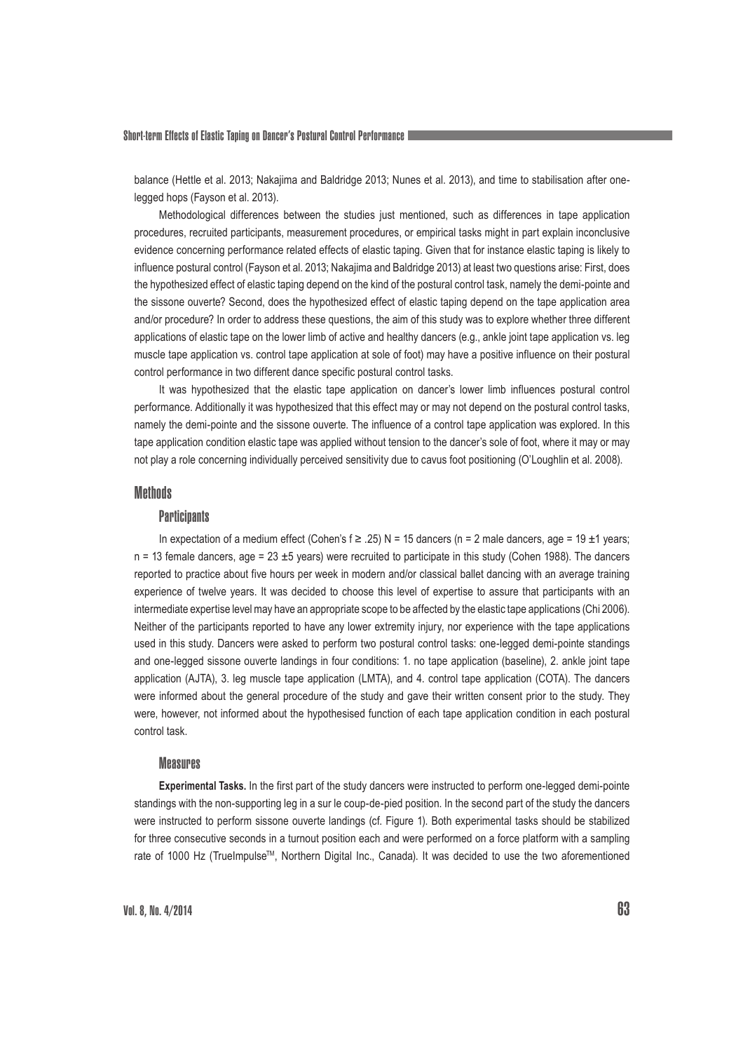balance (Hettle et al. 2013; Nakajima and Baldridge 2013; Nunes et al. 2013), and time to stabilisation after onelegged hops (Fayson et al. 2013).

Methodological differences between the studies just mentioned, such as differences in tape application procedures, recruited participants, measurement procedures, or empirical tasks might in part explain inconclusive evidence concerning performance related effects of elastic taping. Given that for instance elastic taping is likely to influence postural control (Fayson et al. 2013; Nakajima and Baldridge 2013) at least two questions arise: First, does the hypothesized effect of elastic taping depend on the kind of the postural control task, namely the demi-pointe and the sissone ouverte? Second, does the hypothesized effect of elastic taping depend on the tape application area and/or procedure? In order to address these questions, the aim of this study was to explore whether three different applications of elastic tape on the lower limb of active and healthy dancers (e.g., ankle joint tape application vs. leg muscle tape application vs. control tape application at sole of foot) may have a positive influence on their postural control performance in two different dance specific postural control tasks.

It was hypothesized that the elastic tape application on dancer's lower limb influences postural control performance. Additionally it was hypothesized that this effect may or may not depend on the postural control tasks, namely the demi-pointe and the sissone ouverte. The influence of a control tape application was explored. In this tape application condition elastic tape was applied without tension to the dancer's sole of foot, where it may or may not play a role concerning individually perceived sensitivity due to cavus foot positioning (O'Loughlin et al. 2008).

#### **Methods**

#### **Participants**

In expectation of a medium effect (Cohen's  $f \ge 0.25$ ) N = 15 dancers (n = 2 male dancers, age = 19 ±1 years;  $n = 13$  female dancers, age = 23  $\pm$ 5 years) were recruited to participate in this study (Cohen 1988). The dancers reported to practice about five hours per week in modern and/or classical ballet dancing with an average training experience of twelve years. It was decided to choose this level of expertise to assure that participants with an intermediate expertise level may have an appropriate scope to be affected by the elastic tape applications (Chi 2006). Neither of the participants reported to have any lower extremity injury, nor experience with the tape applications used in this study. Dancers were asked to perform two postural control tasks: one-legged demi-pointe standings and one-legged sissone ouverte landings in four conditions: 1. no tape application (baseline), 2. ankle joint tape application (AJTA), 3. leg muscle tape application (LMTA), and 4. control tape application (COTA). The dancers were informed about the general procedure of the study and gave their written consent prior to the study. They were, however, not informed about the hypothesised function of each tape application condition in each postural control task.

#### Measures

**Experimental Tasks.** In the first part of the study dancers were instructed to perform one-legged demi-pointe standings with the non-supporting leg in a sur le coup-de-pied position. In the second part of the study the dancers were instructed to perform sissone ouverte landings (cf. Figure 1). Both experimental tasks should be stabilized for three consecutive seconds in a turnout position each and were performed on a force platform with a sampling rate of 1000 Hz (TrueImpulse™, Northern Digital Inc., Canada). It was decided to use the two aforementioned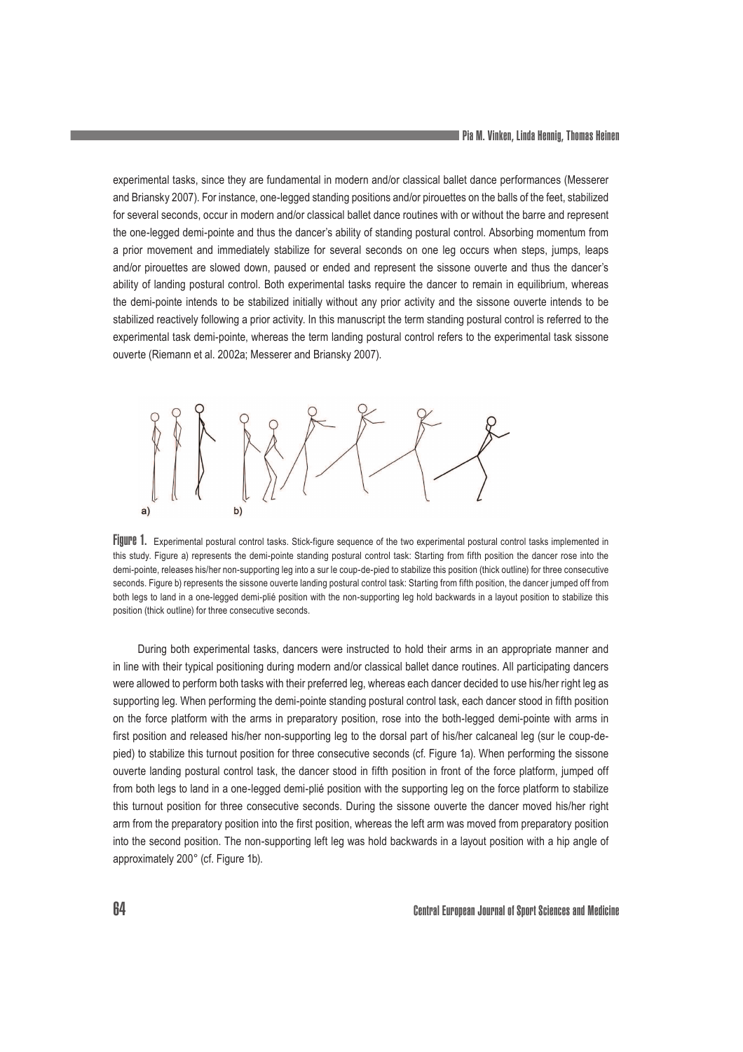experimental tasks, since they are fundamental in modern and/or classical ballet dance performances (Messerer and Briansky 2007). For instance, one-legged standing positions and/or pirouettes on the balls of the feet, stabilized for several seconds, occur in modern and/or classical ballet dance routines with or without the barre and represent the one-legged demi-pointe and thus the dancer's ability of standing postural control. Absorbing momentum from a prior movement and immediately stabilize for several seconds on one leg occurs when steps, jumps, leaps and/or pirouettes are slowed down, paused or ended and represent the sissone ouverte and thus the dancer's ability of landing postural control. Both experimental tasks require the dancer to remain in equilibrium, whereas the demi-pointe intends to be stabilized initially without any prior activity and the sissone ouverte intends to be stabilized reactively following a prior activity. In this manuscript the term standing postural control is referred to the experimental task demi-pointe, whereas the term landing postural control refers to the experimental task sissone ouverte (Riemann et al. 2002a; Messerer and Briansky 2007).



Figure 1. Experimental postural control tasks. Stick-figure sequence of the two experimental postural control tasks implemented in this study. Figure a) represents the demi-pointe standing postural control task: Starting from fifth position the dancer rose into the demi-pointe, releases his/her non-supporting leg into a sur le coup-de-pied to stabilize this position (thick outline) for three consecutive seconds. Figure b) represents the sissone ouverte landing postural control task: Starting from fifth position, the dancer jumped off from both legs to land in a one-legged demi-plié position with the non-supporting leg hold backwards in a layout position to stabilize this position (thick outline) for three consecutive seconds.

During both experimental tasks, dancers were instructed to hold their arms in an appropriate manner and in line with their typical positioning during modern and/or classical ballet dance routines. All participating dancers were allowed to perform both tasks with their preferred leg, whereas each dancer decided to use his/her right leg as supporting leg. When performing the demi-pointe standing postural control task, each dancer stood in fifth position on the force platform with the arms in preparatory position, rose into the both-legged demi-pointe with arms in first position and released his/her non-supporting leg to the dorsal part of his/her calcaneal leg (sur le coup-depied) to stabilize this turnout position for three consecutive seconds (cf. Figure 1a). When performing the sissone ouverte landing postural control task, the dancer stood in fifth position in front of the force platform, jumped off from both legs to land in a one-legged demi-plié position with the supporting leg on the force platform to stabilize this turnout position for three consecutive seconds. During the sissone ouverte the dancer moved his/her right arm from the preparatory position into the first position, whereas the left arm was moved from preparatory position into the second position. The non-supporting left leg was hold backwards in a layout position with a hip angle of approximately 200° (cf. Figure 1b).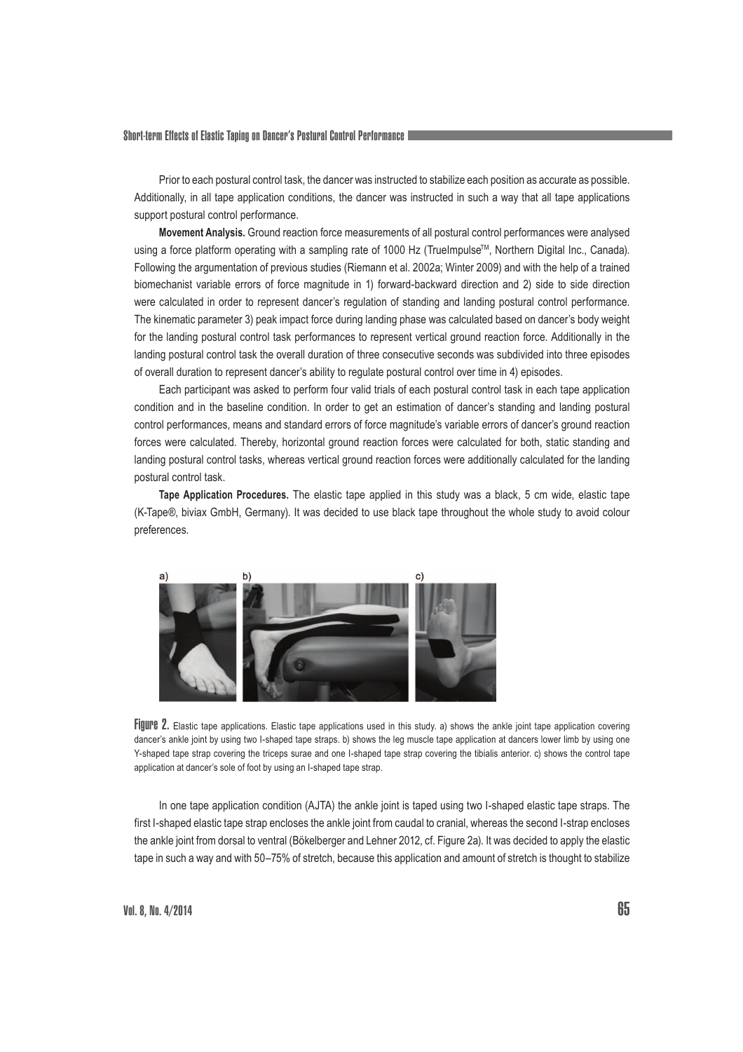Short-term Effects of Elastic Taping on Dancer's Postural Control Performance

Prior to each postural control task, the dancer was instructed to stabilize each position as accurate as possible. Additionally, in all tape application conditions, the dancer was instructed in such a way that all tape applications support postural control performance.

**Movement Analysis.** Ground reaction force measurements of all postural control performances were analysed using a force platform operating with a sampling rate of 1000 Hz (TrueImpulse™, Northern Digital Inc., Canada). Following the argumentation of previous studies (Riemann et al. 2002a; Winter 2009) and with the help of a trained biomechanist variable errors of force magnitude in 1) forward-backward direction and 2) side to side direction were calculated in order to represent dancer's regulation of standing and landing postural control performance. The kinematic parameter 3) peak impact force during landing phase was calculated based on dancer's body weight for the landing postural control task performances to represent vertical ground reaction force. Additionally in the landing postural control task the overall duration of three consecutive seconds was subdivided into three episodes of overall duration to represent dancer's ability to regulate postural control over time in 4) episodes.

Each participant was asked to perform four valid trials of each postural control task in each tape application condition and in the baseline condition. In order to get an estimation of dancer's standing and landing postural control performances, means and standard errors of force magnitude's variable errors of dancer's ground reaction forces were calculated. Thereby, horizontal ground reaction forces were calculated for both, static standing and landing postural control tasks, whereas vertical ground reaction forces were additionally calculated for the landing postural control task.

**Tape Application Procedures.** The elastic tape applied in this study was a black, 5 cm wide, elastic tape (K-Tape®, biviax GmbH, Germany). It was decided to use black tape throughout the whole study to avoid colour preferences.



Figure 2. Elastic tape applications. Elastic tape applications used in this study. a) shows the ankle joint tape application covering dancer's ankle joint by using two I-shaped tape straps. b) shows the leg muscle tape application at dancers lower limb by using one Y-shaped tape strap covering the triceps surae and one I-shaped tape strap covering the tibialis anterior. c) shows the control tape application at dancer's sole of foot by using an I-shaped tape strap.

In one tape application condition (AJTA) the ankle joint is taped using two I-shaped elastic tape straps. The first I-shaped elastic tape strap encloses the ankle joint from caudal to cranial, whereas the second I-strap encloses the ankle joint from dorsal to ventral (Bökelberger and Lehner 2012, cf. Figure 2a). It was decided to apply the elastic tape in such a way and with 50–75% of stretch, because this application and amount of stretch is thought to stabilize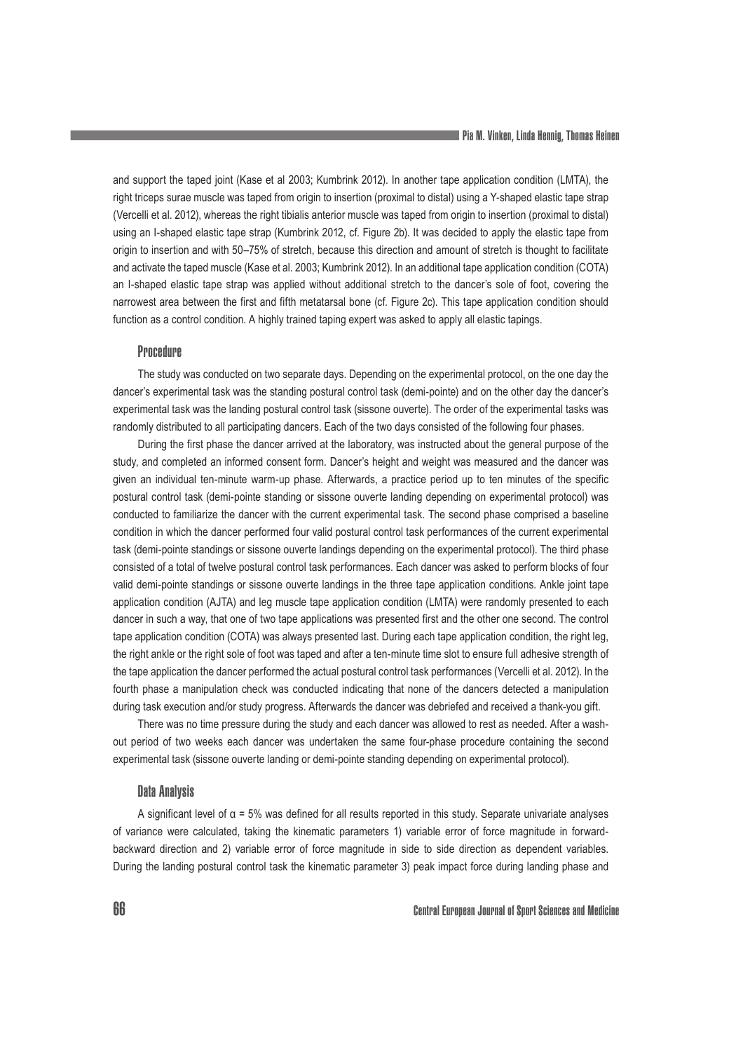and support the taped joint (Kase et al 2003; Kumbrink 2012). In another tape application condition (LMTA), the right triceps surae muscle was taped from origin to insertion (proximal to distal) using a Y-shaped elastic tape strap (Vercelli et al. 2012), whereas the right tibialis anterior muscle was taped from origin to insertion (proximal to distal) using an I-shaped elastic tape strap (Kumbrink 2012, cf. Figure 2b). It was decided to apply the elastic tape from origin to insertion and with 50–75% of stretch, because this direction and amount of stretch is thought to facilitate and activate the taped muscle (Kase et al. 2003; Kumbrink 2012). In an additional tape application condition (COTA) an I-shaped elastic tape strap was applied without additional stretch to the dancer's sole of foot, covering the narrowest area between the first and fifth metatarsal bone (cf. Figure 2c). This tape application condition should function as a control condition. A highly trained taping expert was asked to apply all elastic tapings.

#### **Procedure**

The study was conducted on two separate days. Depending on the experimental protocol, on the one day the dancer's experimental task was the standing postural control task (demi-pointe) and on the other day the dancer's experimental task was the landing postural control task (sissone ouverte). The order of the experimental tasks was randomly distributed to all participating dancers. Each of the two days consisted of the following four phases.

During the first phase the dancer arrived at the laboratory, was instructed about the general purpose of the study, and completed an informed consent form. Dancer's height and weight was measured and the dancer was given an individual ten-minute warm-up phase. Afterwards, a practice period up to ten minutes of the specific postural control task (demi-pointe standing or sissone ouverte landing depending on experimental protocol) was conducted to familiarize the dancer with the current experimental task. The second phase comprised a baseline condition in which the dancer performed four valid postural control task performances of the current experimental task (demi-pointe standings or sissone ouverte landings depending on the experimental protocol). The third phase consisted of a total of twelve postural control task performances. Each dancer was asked to perform blocks of four valid demi-pointe standings or sissone ouverte landings in the three tape application conditions. Ankle joint tape application condition (AJTA) and leg muscle tape application condition (LMTA) were randomly presented to each dancer in such a way, that one of two tape applications was presented first and the other one second. The control tape application condition (COTA) was always presented last. During each tape application condition, the right leg, the right ankle or the right sole of foot was taped and after a ten-minute time slot to ensure full adhesive strength of the tape application the dancer performed the actual postural control task performances (Vercelli et al. 2012). In the fourth phase a manipulation check was conducted indicating that none of the dancers detected a manipulation during task execution and/or study progress. Afterwards the dancer was debriefed and received a thank-you gift.

There was no time pressure during the study and each dancer was allowed to rest as needed. After a washout period of two weeks each dancer was undertaken the same four-phase procedure containing the second experimental task (sissone ouverte landing or demi-pointe standing depending on experimental protocol).

#### Data Analysis

A significant level of  $\alpha$  = 5% was defined for all results reported in this study. Separate univariate analyses of variance were calculated, taking the kinematic parameters 1) variable error of force magnitude in forwardbackward direction and 2) variable error of force magnitude in side to side direction as dependent variables. During the landing postural control task the kinematic parameter 3) peak impact force during landing phase and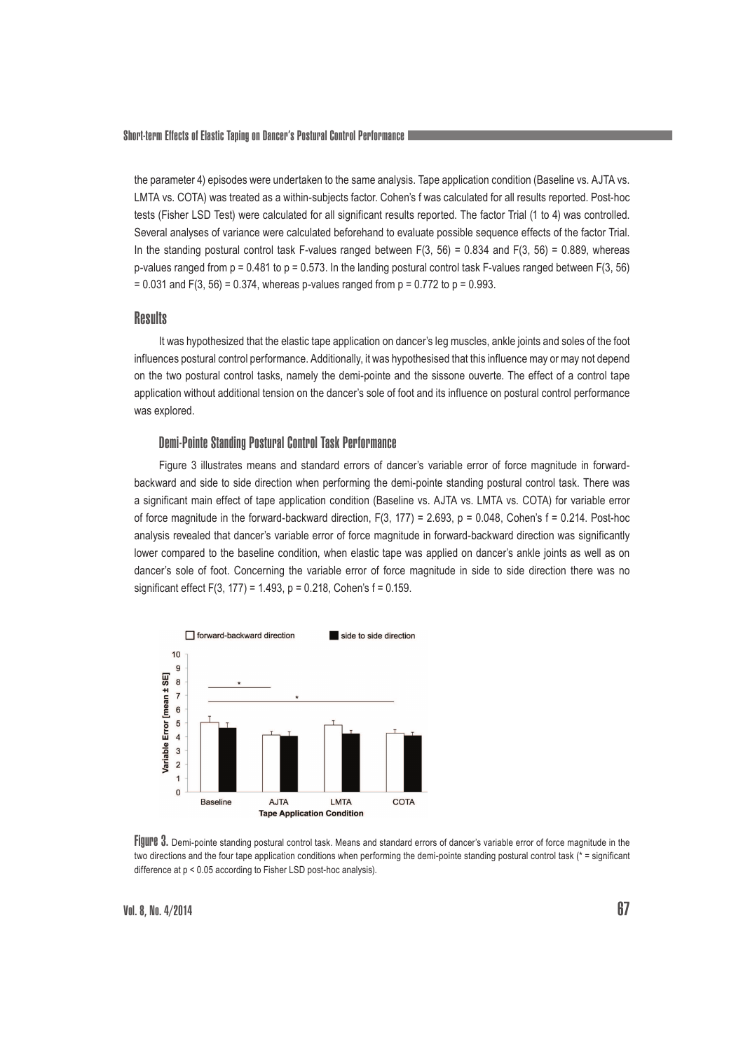the parameter 4) episodes were undertaken to the same analysis. Tape application condition (Baseline vs. AJTA vs. LMTA vs. COTA) was treated as a within-subjects factor. Cohen's f was calculated for all results reported. Post-hoc tests (Fisher LSD Test) were calculated for all significant results reported. The factor Trial (1 to 4) was controlled. Several analyses of variance were calculated beforehand to evaluate possible sequence effects of the factor Trial. In the standing postural control task F-values ranged between  $F(3, 56) = 0.834$  and  $F(3, 56) = 0.889$ , whereas p-values ranged from  $p = 0.481$  to  $p = 0.573$ . In the landing postural control task F-values ranged between  $F(3, 56)$  $= 0.031$  and F(3, 56) = 0.374, whereas p-values ranged from  $p = 0.772$  to  $p = 0.993$ .

#### **Results**

It was hypothesized that the elastic tape application on dancer's leg muscles, ankle joints and soles of the foot influences postural control performance. Additionally, it was hypothesised that this influence may or may not depend on the two postural control tasks, namely the demi-pointe and the sissone ouverte. The effect of a control tape application without additional tension on the dancer's sole of foot and its influence on postural control performance was explored.

### Demi-Pointe Standing Postural Control Task Performance

Figure 3 illustrates means and standard errors of dancer's variable error of force magnitude in forwardbackward and side to side direction when performing the demi-pointe standing postural control task. There was a significant main effect of tape application condition (Baseline vs. AJTA vs. LMTA vs. COTA) for variable error of force magnitude in the forward-backward direction,  $F(3, 177) = 2.693$ ,  $p = 0.048$ , Cohen's f = 0.214. Post-hoc analysis revealed that dancer's variable error of force magnitude in forward-backward direction was significantly lower compared to the baseline condition, when elastic tape was applied on dancer's ankle joints as well as on dancer's sole of foot. Concerning the variable error of force magnitude in side to side direction there was no significant effect F(3, 177) = 1.493, p = 0.218, Cohen's f = 0.159.



Figure 3. Demi-pointe standing postural control task. Means and standard errors of dancer's variable error of force magnitude in the two directions and the four tape application conditions when performing the demi-pointe standing postural control task (\* = significant difference at p < 0.05 according to Fisher LSD post-hoc analysis).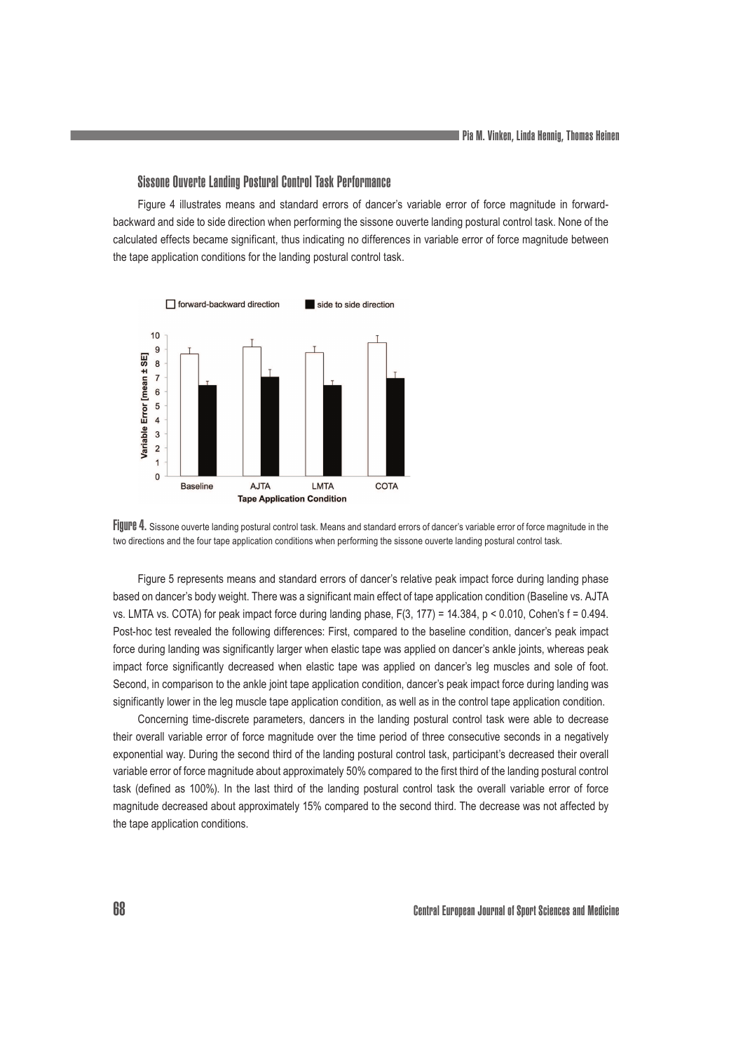#### Sissone Ouverte Landing Postural Control Task Performance

Figure 4 illustrates means and standard errors of dancer's variable error of force magnitude in forwardbackward and side to side direction when performing the sissone ouverte landing postural control task. None of the calculated effects became significant, thus indicating no differences in variable error of force magnitude between the tape application conditions for the landing postural control task.





Figure 5 represents means and standard errors of dancer's relative peak impact force during landing phase based on dancer's body weight. There was a significant main effect of tape application condition (Baseline vs. AJTA vs. LMTA vs. COTA) for peak impact force during landing phase,  $F(3, 177) = 14.384$ ,  $p < 0.010$ , Cohen's  $f = 0.494$ . Post-hoc test revealed the following differences: First, compared to the baseline condition, dancer's peak impact force during landing was significantly larger when elastic tape was applied on dancer's ankle joints, whereas peak impact force significantly decreased when elastic tape was applied on dancer's leg muscles and sole of foot. Second, in comparison to the ankle joint tape application condition, dancer's peak impact force during landing was significantly lower in the leg muscle tape application condition, as well as in the control tape application condition.

Concerning time-discrete parameters, dancers in the landing postural control task were able to decrease their overall variable error of force magnitude over the time period of three consecutive seconds in a negatively exponential way. During the second third of the landing postural control task, participant's decreased their overall variable error of force magnitude about approximately 50% compared to the first third of the landing postural control task (defined as 100%). In the last third of the landing postural control task the overall variable error of force magnitude decreased about approximately 15% compared to the second third. The decrease was not affected by the tape application conditions.

68 Central European Journal of Sport Sciences and Medicine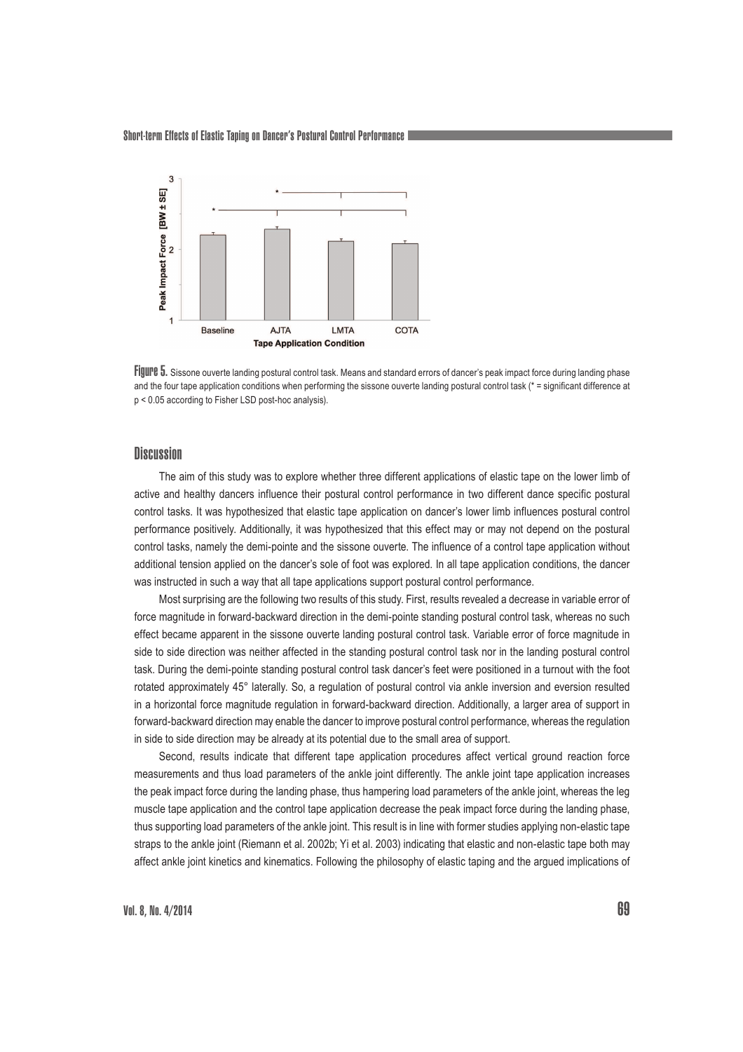

FIJULPE 5. Sissone ouverte landing postural control task. Means and standard errors of dancer's peak impact force during landing phase and the four tape application conditions when performing the sissone ouverte landing postural control task (\* = significant difference at p < 0.05 according to Fisher LSD post-hoc analysis).

# **Discussion**

The aim of this study was to explore whether three different applications of elastic tape on the lower limb of active and healthy dancers influence their postural control performance in two different dance specific postural control tasks. It was hypothesized that elastic tape application on dancer's lower limb influences postural control performance positively. Additionally, it was hypothesized that this effect may or may not depend on the postural control tasks, namely the demi-pointe and the sissone ouverte. The influence of a control tape application without additional tension applied on the dancer's sole of foot was explored. In all tape application conditions, the dancer was instructed in such a way that all tape applications support postural control performance.

Most surprising are the following two results of this study. First, results revealed a decrease in variable error of force magnitude in forward-backward direction in the demi-pointe standing postural control task, whereas no such effect became apparent in the sissone ouverte landing postural control task. Variable error of force magnitude in side to side direction was neither affected in the standing postural control task nor in the landing postural control task. During the demi-pointe standing postural control task dancer's feet were positioned in a turnout with the foot rotated approximately 45° laterally. So, a regulation of postural control via ankle inversion and eversion resulted in a horizontal force magnitude regulation in forward-backward direction. Additionally, a larger area of support in forward-backward direction may enable the dancer to improve postural control performance, whereas the regulation in side to side direction may be already at its potential due to the small area of support.

Second, results indicate that different tape application procedures affect vertical ground reaction force measurements and thus load parameters of the ankle joint differently. The ankle joint tape application increases the peak impact force during the landing phase, thus hampering load parameters of the ankle joint, whereas the leg muscle tape application and the control tape application decrease the peak impact force during the landing phase, thus supporting load parameters of the ankle joint. This result is in line with former studies applying non-elastic tape straps to the ankle joint (Riemann et al. 2002b; Yi et al. 2003) indicating that elastic and non-elastic tape both may affect ankle joint kinetics and kinematics. Following the philosophy of elastic taping and the argued implications of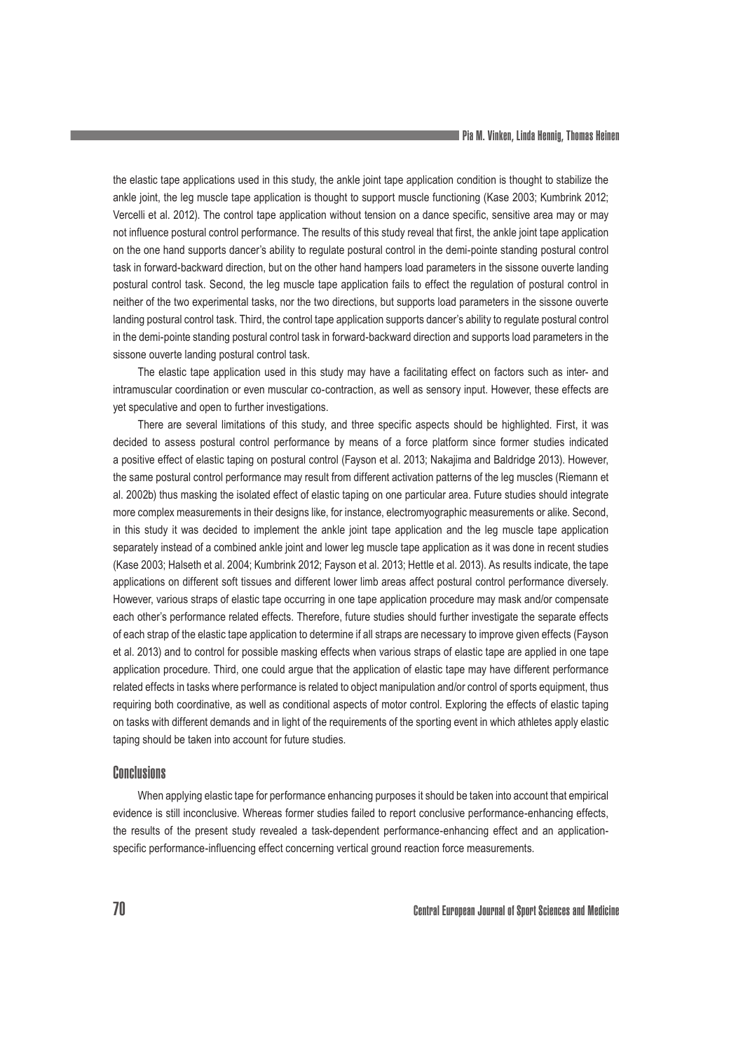the elastic tape applications used in this study, the ankle joint tape application condition is thought to stabilize the ankle joint, the leg muscle tape application is thought to support muscle functioning (Kase 2003; Kumbrink 2012; Vercelli et al. 2012). The control tape application without tension on a dance specific, sensitive area may or may not influence postural control performance. The results of this study reveal that first, the ankle joint tape application on the one hand supports dancer's ability to regulate postural control in the demi-pointe standing postural control task in forward-backward direction, but on the other hand hampers load parameters in the sissone ouverte landing postural control task. Second, the leg muscle tape application fails to effect the regulation of postural control in neither of the two experimental tasks, nor the two directions, but supports load parameters in the sissone ouverte landing postural control task. Third, the control tape application supports dancer's ability to regulate postural control in the demi-pointe standing postural control task in forward-backward direction and supports load parameters in the sissone ouverte landing postural control task.

The elastic tape application used in this study may have a facilitating effect on factors such as inter- and intramuscular coordination or even muscular co-contraction, as well as sensory input. However, these effects are yet speculative and open to further investigations.

There are several limitations of this study, and three specific aspects should be highlighted. First, it was decided to assess postural control performance by means of a force platform since former studies indicated a positive effect of elastic taping on postural control (Fayson et al. 2013; Nakajima and Baldridge 2013). However, the same postural control performance may result from different activation patterns of the leg muscles (Riemann et al. 2002b) thus masking the isolated effect of elastic taping on one particular area. Future studies should integrate more complex measurements in their designs like, for instance, electromyographic measurements or alike. Second, in this study it was decided to implement the ankle joint tape application and the leg muscle tape application separately instead of a combined ankle joint and lower leg muscle tape application as it was done in recent studies (Kase 2003; Halseth et al. 2004; Kumbrink 2012; Fayson et al. 2013; Hettle et al. 2013). As results indicate, the tape applications on different soft tissues and different lower limb areas affect postural control performance diversely. However, various straps of elastic tape occurring in one tape application procedure may mask and/or compensate each other's performance related effects. Therefore, future studies should further investigate the separate effects of each strap of the elastic tape application to determine if all straps are necessary to improve given effects (Fayson et al. 2013) and to control for possible masking effects when various straps of elastic tape are applied in one tape application procedure. Third, one could argue that the application of elastic tape may have different performance related effects in tasks where performance is related to object manipulation and/or control of sports equipment, thus requiring both coordinative, as well as conditional aspects of motor control. Exploring the effects of elastic taping on tasks with different demands and in light of the requirements of the sporting event in which athletes apply elastic taping should be taken into account for future studies.

## Conclusions

When applying elastic tape for performance enhancing purposes it should be taken into account that empirical evidence is still inconclusive. Whereas former studies failed to report conclusive performance-enhancing effects, the results of the present study revealed a task-dependent performance-enhancing effect and an applicationspecific performance-influencing effect concerning vertical ground reaction force measurements.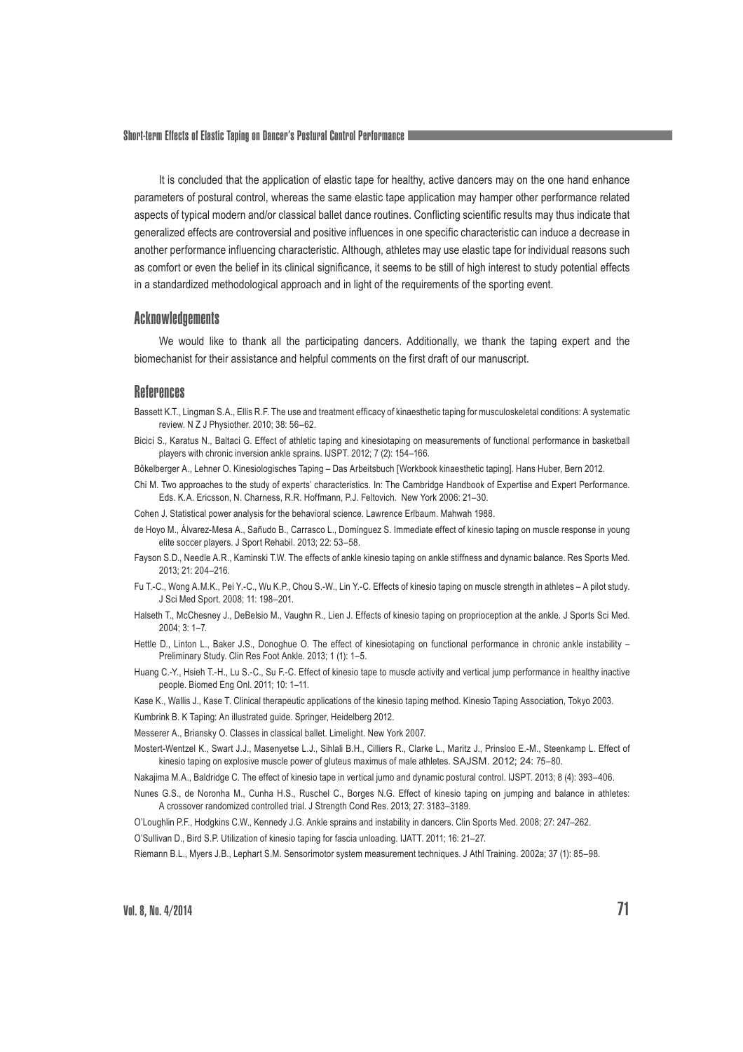Short-term Effects of Elastic Taping on Dancer's Postural Control Performance

It is concluded that the application of elastic tape for healthy, active dancers may on the one hand enhance parameters of postural control, whereas the same elastic tape application may hamper other performance related aspects of typical modern and/or classical ballet dance routines. Conflicting scientific results may thus indicate that generalized effects are controversial and positive influences in one specific characteristic can induce a decrease in another performance influencing characteristic. Although, athletes may use elastic tape for individual reasons such as comfort or even the belief in its clinical significance, it seems to be still of high interest to study potential effects in a standardized methodological approach and in light of the requirements of the sporting event.

#### **Acknowledgements**

We would like to thank all the participating dancers. Additionally, we thank the taping expert and the biomechanist for their assistance and helpful comments on the first draft of our manuscript.

#### References

- Bassett K.T., Lingman S.A., Ellis R.F. The use and treatment efficacy of kinaesthetic taping for musculoskeletal conditions: A systematic review. N Z J Physiother. 2010; 38: 56–62.
- Bicici S., Karatus N., Baltaci G. Effect of athletic taping and kinesiotaping on measurements of functional performance in basketball players with chronic inversion ankle sprains. IJSPT. 2012; 7 (2): 154–166.
- Bökelberger A., Lehner O. Kinesiologisches Taping Das Arbeitsbuch [Workbook kinaesthetic taping]. Hans Huber, Bern 2012.
- Chi M. Two approaches to the study of experts' characteristics. In: The Cambridge Handbook of Expertise and Expert Performance. Eds. K.A. Ericsson, N. Charness, R.R. Hoffmann, P.J. Feltovich. New York 2006: 21–30.
- Cohen J. Statistical power analysis for the behavioral science. Lawrence Erlbaum. Mahwah 1988.
- de Hoyo M., Álvarez-Mesa A., Sañudo B., Carrasco L., Domínguez S. Immediate effect of kinesio taping on muscle response in young elite soccer players. J Sport Rehabil. 2013; 22: 53–58.
- Fayson S.D., Needle A.R., Kaminski T.W. The effects of ankle kinesio taping on ankle stiffness and dynamic balance. Res Sports Med. 2013; 21: 204–216.
- Fu T.-C., Wong A.M.K., Pei Y.-C., Wu K.P., Chou S.-W., Lin Y.-C. Effects of kinesio taping on muscle strength in athletes A pilot study. J Sci Med Sport. 2008; 11: 198–201.
- Halseth T., McChesney J., DeBelsio M., Vaughn R., Lien J. Effects of kinesio taping on proprioception at the ankle. J Sports Sci Med.  $2004:3:1-7$
- Hettle D., Linton L., Baker J.S., Donoghue O. The effect of kinesiotaping on functional performance in chronic ankle instability Preliminary Study. Clin Res Foot Ankle. 2013; 1 (1): 1–5.
- Huang C.-Y., Hsieh T.-H., Lu S.-C., Su F.-C. Effect of kinesio tape to muscle activity and vertical jump performance in healthy inactive people. Biomed Eng Onl. 2011; 10: 1–11.
- Kase K., Wallis J., Kase T. Clinical therapeutic applications of the kinesio taping method. Kinesio Taping Association, Tokyo 2003.
- Kumbrink B. K Taping: An illustrated guide. Springer, Heidelberg 2012.
- Messerer A., Briansky O. Classes in classical ballet. Limelight. New York 2007.
- Mostert-Wentzel K., Swart J.J., Masenyetse L.J., Sihlali B.H., Cilliers R., Clarke L., Maritz J., Prinsloo E.-M., Steenkamp L. Effect of kinesio taping on explosive muscle power of gluteus maximus of male athletes. SAJSM. 2012; 24: 75–80.
- Nakajima M.A., Baldridge C. The effect of kinesio tape in vertical jumo and dynamic postural control. IJSPT. 2013; 8 (4): 393–406.
- Nunes G.S., de Noronha M., Cunha H.S., Ruschel C., Borges N.G. Effect of kinesio taping on jumping and balance in athletes: A crossover randomized controlled trial. J Strength Cond Res. 2013; 27: 3183–3189.
- O'Loughlin P.F., Hodgkins C.W., Kennedy J.G. Ankle sprains and instability in dancers. Clin Sports Med. 2008; 27: 247–262.

O'Sullivan D., Bird S.P. Utilization of kinesio taping for fascia unloading. IJATT. 2011; 16: 21–27.

Riemann B.L., Myers J.B., Lephart S.M. Sensorimotor system measurement techniques. J Athl Training. 2002a; 37 (1): 85–98.